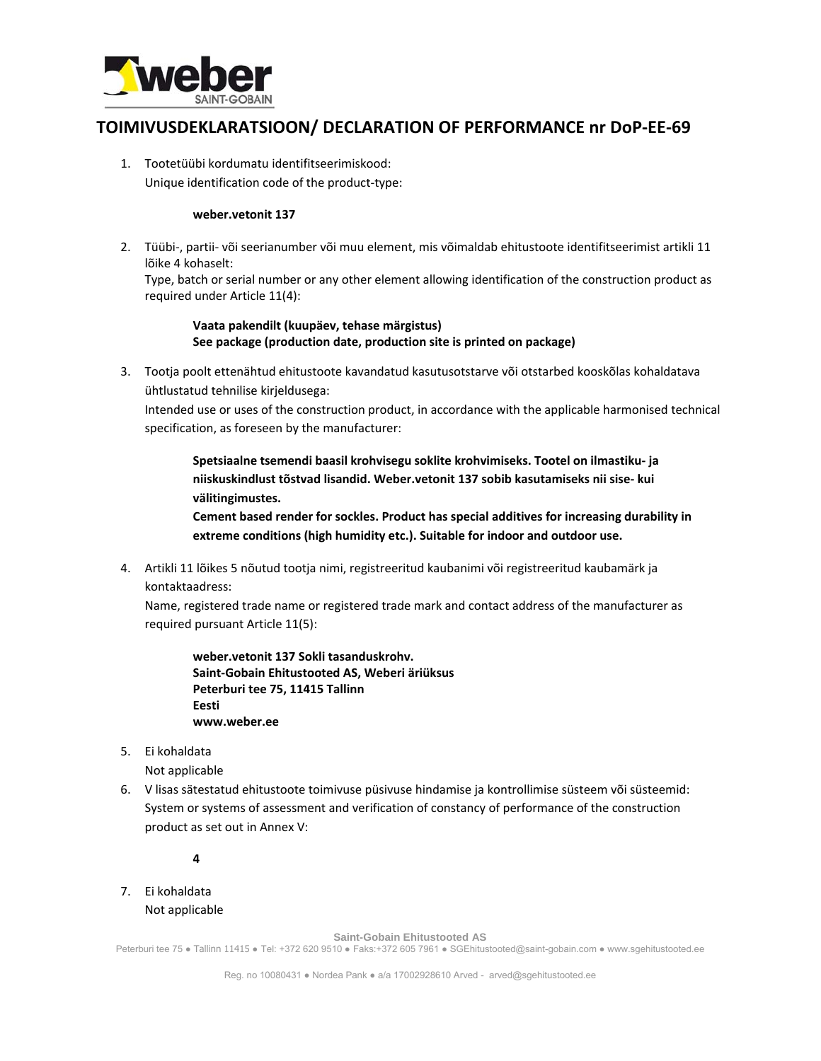

## **TOIMIVUSDEKLARATSIOON/ DECLARATION OF PERFORMANCE nr DoP‐EE‐69**

1. Tootetüübi kordumatu identifitseerimiskood: Unique identification code of the product‐type:

## **weber.vetonit 137**

2. Tüübi‐, partii‐ või seerianumber või muu element, mis võimaldab ehitustoote identifitseerimist artikli 11 lõike 4 kohaselt:

Type, batch or serial number or any other element allowing identification of the construction product as required under Article 11(4):

## **Vaata pakendilt (kuupäev, tehase märgistus) See package (production date, production site is printed on package)**

3. Tootja poolt ettenähtud ehitustoote kavandatud kasutusotstarve või otstarbed kooskõlas kohaldatava ühtlustatud tehnilise kirjeldusega:

Intended use or uses of the construction product, in accordance with the applicable harmonised technical specification, as foreseen by the manufacturer:

**Spetsiaalne tsemendi baasil krohvisegu soklite krohvimiseks. Tootel on ilmastiku‐ ja niiskuskindlust tõstvad lisandid. Weber.vetonit 137 sobib kasutamiseks nii sise‐ kui välitingimustes.** 

**Cement based render for sockles. Product has special additives for increasing durability in extreme conditions (high humidity etc.). Suitable for indoor and outdoor use.** 

4. Artikli 11 lõikes 5 nõutud tootja nimi, registreeritud kaubanimi või registreeritud kaubamärk ja kontaktaadress:

Name, registered trade name or registered trade mark and contact address of the manufacturer as required pursuant Article 11(5):

**weber.vetonit 137 Sokli tasanduskrohv. Saint‐Gobain Ehitustooted AS, Weberi äriüksus Peterburi tee 75, 11415 Tallinn Eesti www.weber.ee**

5. Ei kohaldata

Not applicable

6. V lisas sätestatud ehitustoote toimivuse püsivuse hindamise ja kontrollimise süsteem või süsteemid: System or systems of assessment and verification of constancy of performance of the construction product as set out in Annex V:

**4**

7. Ei kohaldata Not applicable

**Saint-Gobain Ehitustooted AS** 

Peterburi tee 75 ● Tallinn 11415 ● Tel: +372 620 9510 ● Faks:+372 605 7961 ● SGEhitustooted@saint-gobain.com ● www.sgehitustooted.ee